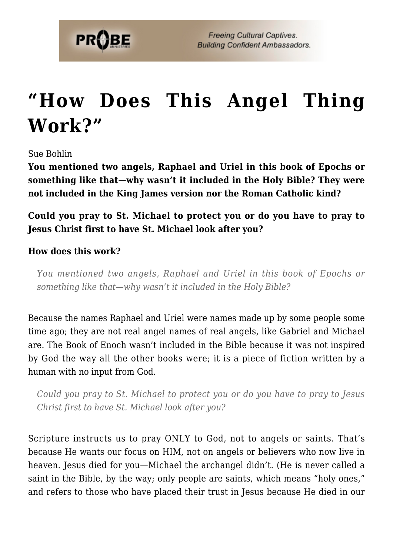

## **["How Does This Angel Thing](https://probe.org/how-does-this-angel-thing-work/) [Work?"](https://probe.org/how-does-this-angel-thing-work/)**

Sue Bohlin

**You mentioned two angels, Raphael and Uriel in this book of Epochs or something like that—why wasn't it included in the Holy Bible? They were not included in the King James version nor the Roman Catholic kind?**

**Could you pray to St. Michael to protect you or do you have to pray to Jesus Christ first to have St. Michael look after you?**

## **How does this work?**

*You mentioned two angels, Raphael and Uriel in this book of Epochs or something like that—why wasn't it included in the Holy Bible?*

Because the names Raphael and Uriel were names made up by some people some time ago; they are not real angel names of real angels, like Gabriel and Michael are. The Book of Enoch wasn't included in the Bible because it was not inspired by God the way all the other books were; it is a piece of fiction written by a human with no input from God.

*Could you pray to St. Michael to protect you or do you have to pray to Jesus Christ first to have St. Michael look after you?*

Scripture instructs us to pray ONLY to God, not to angels or saints. That's because He wants our focus on HIM, not on angels or believers who now live in heaven. Jesus died for you—Michael the archangel didn't. (He is never called a saint in the Bible, by the way; only people are saints, which means "holy ones," and refers to those who have placed their trust in Jesus because He died in our